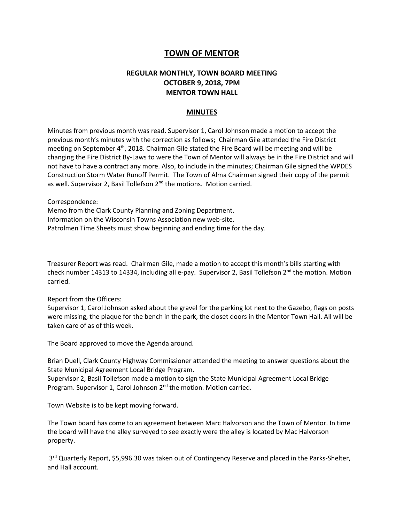## **TOWN OF MENTOR**

## **REGULAR MONTHLY, TOWN BOARD MEETING OCTOBER 9, 2018, 7PM MENTOR TOWN HALL**

## **MINUTES**

Minutes from previous month was read. Supervisor 1, Carol Johnson made a motion to accept the previous month's minutes with the correction as follows; Chairman Gile attended the Fire District meeting on September 4<sup>th</sup>, 2018. Chairman Gile stated the Fire Board will be meeting and will be changing the Fire District By-Laws to were the Town of Mentor will always be in the Fire District and will not have to have a contract any more. Also, to include in the minutes; Chairman Gile signed the WPDES Construction Storm Water Runoff Permit. The Town of Alma Chairman signed their copy of the permit as well. Supervisor 2, Basil Tollefson 2<sup>nd</sup> the motions. Motion carried.

Correspondence:

Memo from the Clark County Planning and Zoning Department. Information on the Wisconsin Towns Association new web-site. Patrolmen Time Sheets must show beginning and ending time for the day.

Treasurer Report was read. Chairman Gile, made a motion to accept this month's bills starting with check number 14313 to 14334, including all e-pay. Supervisor 2, Basil Tollefson  $2^{nd}$  the motion. Motion carried.

Report from the Officers:

Supervisor 1, Carol Johnson asked about the gravel for the parking lot next to the Gazebo, flags on posts were missing, the plaque for the bench in the park, the closet doors in the Mentor Town Hall. All will be taken care of as of this week.

The Board approved to move the Agenda around.

Brian Duell, Clark County Highway Commissioner attended the meeting to answer questions about the State Municipal Agreement Local Bridge Program.

Supervisor 2, Basil Tollefson made a motion to sign the State Municipal Agreement Local Bridge Program. Supervisor 1, Carol Johnson 2<sup>nd</sup> the motion. Motion carried.

Town Website is to be kept moving forward.

The Town board has come to an agreement between Marc Halvorson and the Town of Mentor. In time the board will have the alley surveyed to see exactly were the alley is located by Mac Halvorson property.

3<sup>rd</sup> Quarterly Report, \$5,996.30 was taken out of Contingency Reserve and placed in the Parks-Shelter, and Hall account.